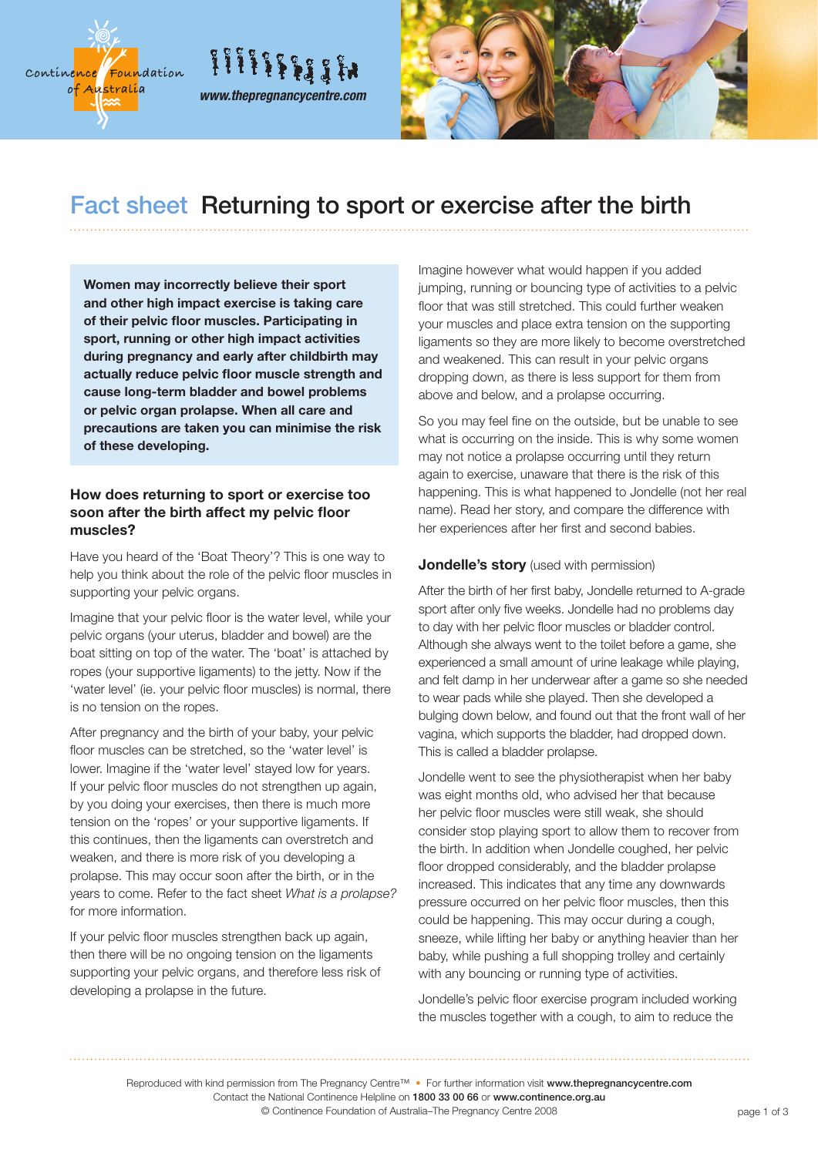



## Fact sheet Returning to sport or exercise after the birth

**Women may incorrectly believe their sport and other high impact exercise is taking care of their pelvic floor muscles. Participating in sport, running or other high impact activities during pregnancy and early after childbirth may actually reduce pelvic floor muscle strength and cause long-term bladder and bowel problems or pelvic organ prolapse. When all care and precautions are taken you can minimise the risk of these developing.**

*www.thepregnancycentre.com*

*HIIIIIIII* 

### **How does returning to sport or exercise too soon after the birth affect my pelvic floor muscles?**

Have you heard of the 'Boat Theory'? This is one way to help you think about the role of the pelvic floor muscles in supporting your pelvic organs.

Imagine that your pelvic floor is the water level, while your pelvic organs (your uterus, bladder and bowel) are the boat sitting on top of the water. The 'boat' is attached by ropes (your supportive ligaments) to the jetty. Now if the 'water level' (ie. your pelvic floor muscles) is normal, there is no tension on the ropes.

After pregnancy and the birth of your baby, your pelvic floor muscles can be stretched, so the 'water level' is lower. Imagine if the 'water level' stayed low for years. If your pelvic floor muscles do not strengthen up again, by you doing your exercises, then there is much more tension on the 'ropes' or your supportive ligaments. If this continues, then the ligaments can overstretch and weaken, and there is more risk of you developing a prolapse. This may occur soon after the birth, or in the years to come. Refer to the fact sheet *What is a prolapse?* for more information.

If your pelvic floor muscles strengthen back up again, then there will be no ongoing tension on the ligaments supporting your pelvic organs, and therefore less risk of developing a prolapse in the future.

Imagine however what would happen if you added jumping, running or bouncing type of activities to a pelvic floor that was still stretched. This could further weaken your muscles and place extra tension on the supporting ligaments so they are more likely to become overstretched and weakened. This can result in your pelvic organs dropping down, as there is less support for them from above and below, and a prolapse occurring.

So you may feel fine on the outside, but be unable to see what is occurring on the inside. This is why some women may not notice a prolapse occurring until they return again to exercise, unaware that there is the risk of this happening. This is what happened to Jondelle (not her real name). Read her story, and compare the difference with her experiences after her first and second babies.

### **Jondelle's story** (used with permission)

After the birth of her first baby, Jondelle returned to A-grade sport after only five weeks. Jondelle had no problems day to day with her pelvic floor muscles or bladder control. Although she always went to the toilet before a game, she experienced a small amount of urine leakage while playing, and felt damp in her underwear after a game so she needed to wear pads while she played. Then she developed a bulging down below, and found out that the front wall of her vagina, which supports the bladder, had dropped down. This is called a bladder prolapse.

Jondelle went to see the physiotherapist when her baby was eight months old, who advised her that because her pelvic floor muscles were still weak, she should consider stop playing sport to allow them to recover from the birth. In addition when Jondelle coughed, her pelvic floor dropped considerably, and the bladder prolapse increased. This indicates that any time any downwards pressure occurred on her pelvic floor muscles, then this could be happening. This may occur during a cough, sneeze, while lifting her baby or anything heavier than her baby, while pushing a full shopping trolley and certainly with any bouncing or running type of activities.

Jondelle's pelvic floor exercise program included working the muscles together with a cough, to aim to reduce the

Reproduced with kind permission from The Pregnancy Centre™ • For further information visit www.thepregnancycentre.com Contact the National Continence Helpline on 1800 33 00 66 or www.continence.org.au © Continence Foundation of Australia–The Pregnancy Centre 2008 **page 1 of 3** page 1 of 3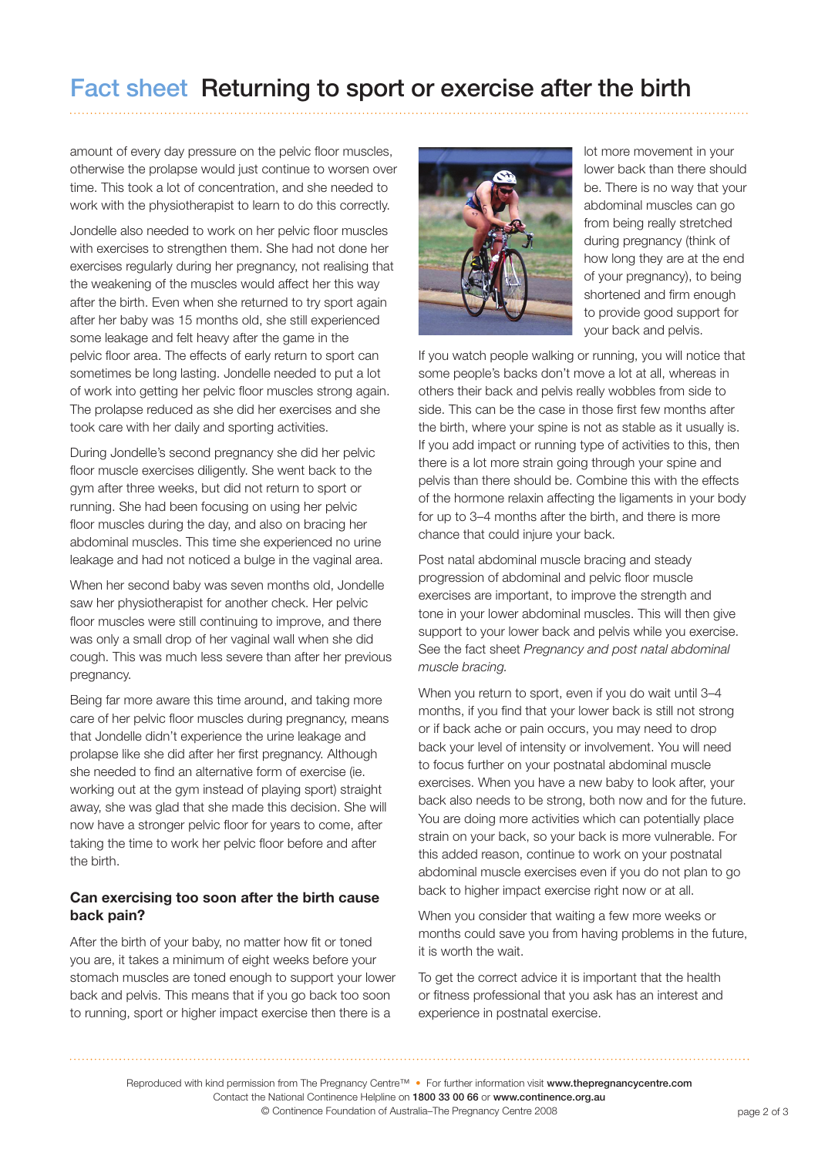# Fact sheet Returning to sport or exercise after the birth

amount of every day pressure on the pelvic floor muscles, otherwise the prolapse would just continue to worsen over time. This took a lot of concentration, and she needed to work with the physiotherapist to learn to do this correctly.

Jondelle also needed to work on her pelvic floor muscles with exercises to strengthen them. She had not done her exercises regularly during her pregnancy, not realising that the weakening of the muscles would affect her this way after the birth. Even when she returned to try sport again after her baby was 15 months old, she still experienced some leakage and felt heavy after the game in the pelvic floor area. The effects of early return to sport can sometimes be long lasting. Jondelle needed to put a lot of work into getting her pelvic floor muscles strong again. The prolapse reduced as she did her exercises and she took care with her daily and sporting activities.

During Jondelle's second pregnancy she did her pelvic floor muscle exercises diligently. She went back to the gym after three weeks, but did not return to sport or running. She had been focusing on using her pelvic floor muscles during the day, and also on bracing her abdominal muscles. This time she experienced no urine leakage and had not noticed a bulge in the vaginal area.

When her second baby was seven months old, Jondelle saw her physiotherapist for another check. Her pelvic floor muscles were still continuing to improve, and there was only a small drop of her vaginal wall when she did cough. This was much less severe than after her previous pregnancy.

Being far more aware this time around, and taking more care of her pelvic floor muscles during pregnancy, means that Jondelle didn't experience the urine leakage and prolapse like she did after her first pregnancy. Although she needed to find an alternative form of exercise (ie. working out at the gym instead of playing sport) straight away, she was glad that she made this decision. She will now have a stronger pelvic floor for years to come, after taking the time to work her pelvic floor before and after the birth.

### **Can exercising too soon after the birth cause back pain?**

After the birth of your baby, no matter how fit or toned you are, it takes a minimum of eight weeks before your stomach muscles are toned enough to support your lower back and pelvis. This means that if you go back too soon to running, sport or higher impact exercise then there is a



lot more movement in your lower back than there should be. There is no way that your abdominal muscles can go from being really stretched during pregnancy (think of how long they are at the end of your pregnancy), to being shortened and firm enough to provide good support for your back and pelvis.

If you watch people walking or running, you will notice that some people's backs don't move a lot at all, whereas in others their back and pelvis really wobbles from side to side. This can be the case in those first few months after the birth, where your spine is not as stable as it usually is. If you add impact or running type of activities to this, then there is a lot more strain going through your spine and pelvis than there should be. Combine this with the effects of the hormone relaxin affecting the ligaments in your body for up to 3–4 months after the birth, and there is more chance that could injure your back.

Post natal abdominal muscle bracing and steady progression of abdominal and pelvic floor muscle exercises are important, to improve the strength and tone in your lower abdominal muscles. This will then give support to your lower back and pelvis while you exercise. See the fact sheet *Pregnancy and post natal abdominal muscle bracing.*

When you return to sport, even if you do wait until 3-4 months, if you find that your lower back is still not strong or if back ache or pain occurs, you may need to drop back your level of intensity or involvement. You will need to focus further on your postnatal abdominal muscle exercises. When you have a new baby to look after, your back also needs to be strong, both now and for the future. You are doing more activities which can potentially place strain on your back, so your back is more vulnerable. For this added reason, continue to work on your postnatal abdominal muscle exercises even if you do not plan to go back to higher impact exercise right now or at all.

When you consider that waiting a few more weeks or months could save you from having problems in the future, it is worth the wait.

To get the correct advice it is important that the health or fitness professional that you ask has an interest and experience in postnatal exercise.

Reproduced with kind permission from The Pregnancy Centre™ • For further information visit www.thepregnancycentre.com Contact the National Continence Helpline on 1800 33 00 66 or www.continence.org.au

© Continence Foundation of Australia–The Pregnancy Centre 2008 **page 2 of 3** page 2 of 3